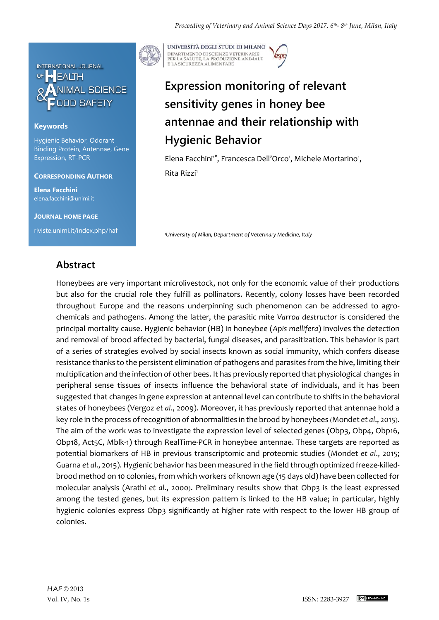

### **Keywords**

Hygienic Behavior, Odorant Binding Protein, Antennae, Gene Expression, RT-PCR

#### **CORRESPONDING AUTHOR**

**Elena Facchini** elena.facchini@unimi.it

**JOURNAL HOME PAGE** riviste.unimi.it/index.php/haf



UNIVERSITÀ DEGLI STUDI DI MILANO DIPARTIMENTO DI SCIENZE VETERINARIE PER LA SALUTE, LA PRODUZIONE ANIMALE<br>E LA SICUREZZA ALIMENTARE

# **Expression monitoring of relevant sensitivity genes in honey bee antennae and their relationship with Hygienic Behavior**

Elena Facchini<sup>1\*</sup>, Francesca Dell'Orco<sup>1</sup>, Michele Mortarino<sup>1</sup>, Rita Rizzi<sup>1</sup>

*<sup>1</sup>University of Milan, Department of Veterinary Medicine, Italy*

### **Abstract**

Honeybees are very important microlivestock, not only for the economic value of their productions but also for the crucial role they fulfill as pollinators. Recently, colony losses have been recorded throughout Europe and the reasons underpinning such phenomenon can be addressed to agrochemicals and pathogens. Among the latter, the parasitic mite *Varroa destructor* is considered the principal mortality cause. Hygienic behavior (HB) in honeybee (*Apis mellifera*) involves the detection and removal of brood affected by bacterial, fungal diseases, and parasitization. This behavior is part of a series of strategies evolved by social insects known as social immunity, which confers disease resistance thanks to the persistent elimination of pathogens and parasites from the hive, limiting their multiplication and the infection of other bees. It has previously reported that physiological changes in peripheral sense tissues of insects influence the behavioral state of individuals, and it has been suggested that changes in gene expression at antennal level can contribute to shifts in the behavioral states of honeybees (Vergoz *et al*., 2009). Moreover, it has previously reported that antennae hold a key role in the process of recognition of abnormalities in the brood by honeybees (Mondet *et al*., 2015). The aim of the work was to investigate the expression level of selected genes (Obp3, Obp4, Obp16, Obp18, Act5C, Mblk-1) through RealTime-PCR in honeybee antennae. These targets are reported as potential biomarkers of HB in previous transcriptomic and proteomic studies (Mondet *et al*., 2015; Guarna *et al*., 2015). Hygienic behavior has been measured in the field through optimized freeze-killedbrood method on 10 colonies, from which workers of known age (15 days old) have been collected for molecular analysis (Arathi *et al*., 2000). Preliminary results show that Obp3 is the least expressed among the tested genes, but its expression pattern is linked to the HB value; in particular, highly hygienic colonies express Obp3 significantly at higher rate with respect to the lower HB group of colonies.